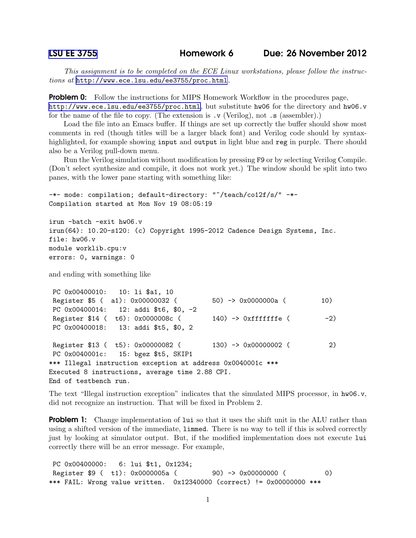*This assignment is to be completed on the ECE Linux workstations, please follow the instructions at* <http://www.ece.lsu.edu/ee3755/proc.html>*.*

**Problem 0:** Follow the instructions for MIPS Homework Workflow in the procedures page, <http://www.ece.lsu.edu/ee3755/proc.html>, but substitute hw06 for the directory and hw06.v for the name of the file to copy. (The extension is .v (Verilog), not .s (assembler).)

Load the file into an Emacs buffer. If things are set up correctly the buffer should show most comments in red (though titles will be a larger black font) and Verilog code should by syntaxhighlighted, for example showing input and output in light blue and reg in purple. There should also be a Verilog pull-down menu.

Run the Verilog simulation without modification by pressing F9 or by selecting Verilog Compile. (Don't select synthesize and compile, it does not work yet.) The window should be split into two panes, with the lower pane starting with something like:

```
-*- mode: compilation; default-directory: "~/teach/co12f/s/" -*-
Compilation started at Mon Nov 19 08:05:19
irun -batch -exit hw06.v
irun(64): 10.20-s120: (c) Copyright 1995-2012 Cadence Design Systems, Inc.
file: hw06.v
module worklib.cpu:v
errors: 0, warnings: 0
```
and ending with something like

```
PC 0x00400010: 10: li $a1, 10
Register $5 ( a1): 0x00000032 ( 50) -> 0x0000000a ( 10)
PC 0x00400014: 12: addi $t6, $0, -2
Register $14 ( t6): 0x0000008c ( 140) -> 0xfffffffe ( -2)
PC 0x00400018: 13: addi $t5, $0, 2
Register $13 ( t5): 0x00000082 ( 130) -> 0x00000002 ( 2)
PC 0x0040001c: 15: bgez $t5, SKIP1
*** Illegal instruction exception at address 0x0040001c ***
Executed 8 instructions, average time 2.88 CPI.
End of testbench run.
```
The text "Illegal instruction exception" indicates that the simulated MIPS processor, in hw06.v, did not recognize an instruction. That will be fixed in Problem 2.

**Problem 1:** Change implementation of lui so that it uses the shift unit in the ALU rather than using a shifted version of the immediate, limmed. There is no way to tell if this is solved correctly just by looking at simulator output. But, if the modified implementation does not execute lui correctly there will be an error message. For example,

PC 0x00400000: 6: lui \$t1, 0x1234; Register \$9 ( t1): 0x0000005a ( 90) -> 0x00000000 ( 0) \*\*\* FAIL: Wrong value written. 0x12340000 (correct) != 0x00000000 \*\*\*